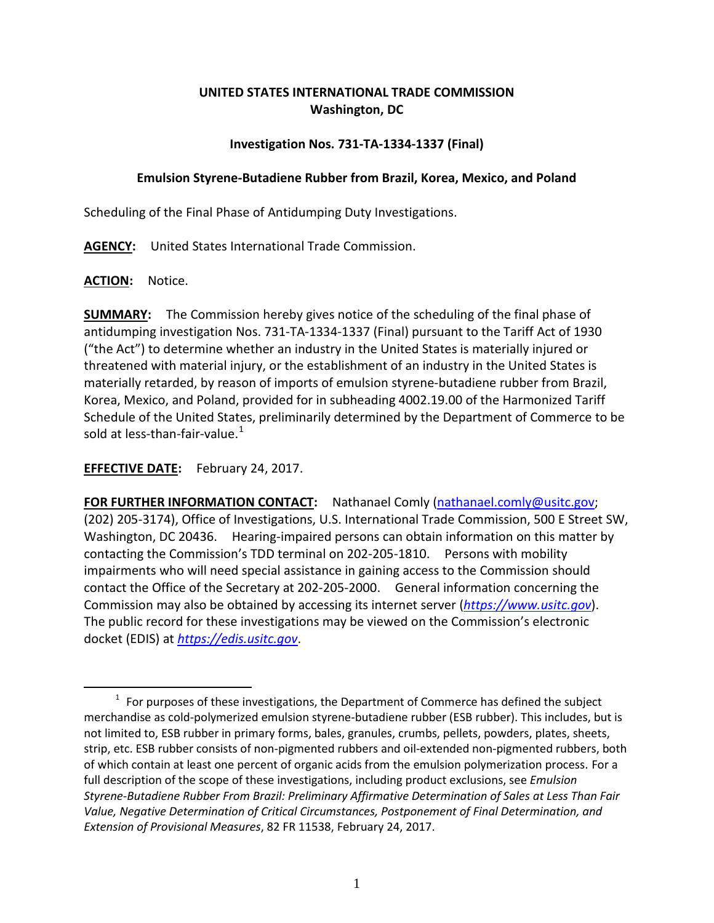## **UNITED STATES INTERNATIONAL TRADE COMMISSION Washington, DC**

## **Investigation Nos. 731-TA-1334-1337 (Final)**

## **Emulsion Styrene-Butadiene Rubber from Brazil, Korea, Mexico, and Poland**

Scheduling of the Final Phase of Antidumping Duty Investigations.

**AGENCY:** United States International Trade Commission.

**ACTION:** Notice.

 $\overline{a}$ 

**SUMMARY:** The Commission hereby gives notice of the scheduling of the final phase of antidumping investigation Nos. 731-TA-1334-1337 (Final) pursuant to the Tariff Act of 1930 ("the Act") to determine whether an industry in the United States is materially injured or threatened with material injury, or the establishment of an industry in the United States is materially retarded, by reason of imports of emulsion styrene-butadiene rubber from Brazil, Korea, Mexico, and Poland, provided for in subheading 4002.19.00 of the Harmonized Tariff Schedule of the United States, preliminarily determined by the Department of Commerce to be sold at less-than-fair-value. $^{\rm 1}$  $^{\rm 1}$  $^{\rm 1}$ 

**EFFECTIVE DATE:** February 24, 2017.

**FOR FURTHER INFORMATION CONTACT:** Nathanael Comly [\(nathanael.comly@usitc.gov;](mailto:nathanael.comly@usitc.gov) (202) 205-3174), Office of Investigations, U.S. International Trade Commission, 500 E Street SW, Washington, DC 20436. Hearing-impaired persons can obtain information on this matter by contacting the Commission's TDD terminal on 202-205-1810. Persons with mobility impairments who will need special assistance in gaining access to the Commission should contact the Office of the Secretary at 202-205-2000. General information concerning the Commission may also be obtained by accessing its internet server (*[https://www.usitc.gov](https://www.usitc.gov/)*). The public record for these investigations may be viewed on the Commission's electronic docket (EDIS) at *[https://edis.usitc.gov](https://edis.usitc.gov/)*.

<span id="page-0-0"></span> $1$  For purposes of these investigations, the Department of Commerce has defined the subject merchandise as cold-polymerized emulsion styrene-butadiene rubber (ESB rubber). This includes, but is not limited to, ESB rubber in primary forms, bales, granules, crumbs, pellets, powders, plates, sheets, strip, etc. ESB rubber consists of non-pigmented rubbers and oil-extended non-pigmented rubbers, both of which contain at least one percent of organic acids from the emulsion polymerization process. For a full description of the scope of these investigations, including product exclusions, see *Emulsion Styrene-Butadiene Rubber From Brazil: Preliminary Affirmative Determination of Sales at Less Than Fair Value, Negative Determination of Critical Circumstances, Postponement of Final Determination, and Extension of Provisional Measures*, 82 FR 11538, February 24, 2017.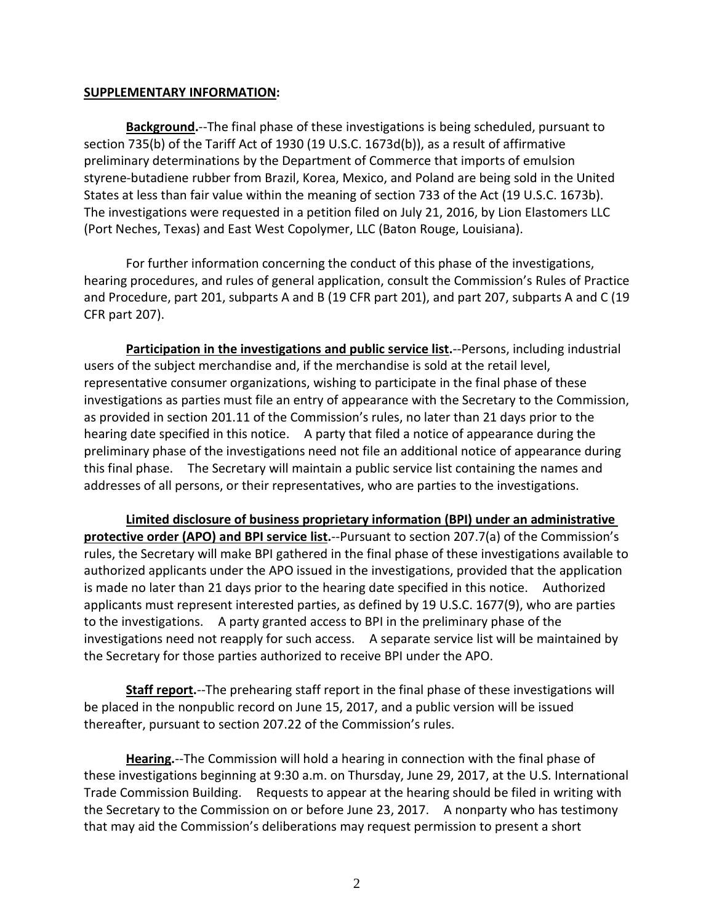## **SUPPLEMENTARY INFORMATION:**

**Background.**--The final phase of these investigations is being scheduled, pursuant to section 735(b) of the Tariff Act of 1930 (19 U.S.C. 1673d(b)), as a result of affirmative preliminary determinations by the Department of Commerce that imports of emulsion styrene-butadiene rubber from Brazil, Korea, Mexico, and Poland are being sold in the United States at less than fair value within the meaning of section 733 of the Act (19 U.S.C. 1673b). The investigations were requested in a petition filed on July 21, 2016, by Lion Elastomers LLC (Port Neches, Texas) and East West Copolymer, LLC (Baton Rouge, Louisiana).

For further information concerning the conduct of this phase of the investigations, hearing procedures, and rules of general application, consult the Commission's Rules of Practice and Procedure, part 201, subparts A and B (19 CFR part 201), and part 207, subparts A and C (19 CFR part 207).

**Participation in the investigations and public service list.**--Persons, including industrial users of the subject merchandise and, if the merchandise is sold at the retail level, representative consumer organizations, wishing to participate in the final phase of these investigations as parties must file an entry of appearance with the Secretary to the Commission, as provided in section 201.11 of the Commission's rules, no later than 21 days prior to the hearing date specified in this notice. A party that filed a notice of appearance during the preliminary phase of the investigations need not file an additional notice of appearance during this final phase. The Secretary will maintain a public service list containing the names and addresses of all persons, or their representatives, who are parties to the investigations.

**Limited disclosure of business proprietary information (BPI) under an administrative protective order (APO) and BPI service list.**--Pursuant to section 207.7(a) of the Commission's rules, the Secretary will make BPI gathered in the final phase of these investigations available to authorized applicants under the APO issued in the investigations, provided that the application is made no later than 21 days prior to the hearing date specified in this notice. Authorized applicants must represent interested parties, as defined by 19 U.S.C. 1677(9), who are parties to the investigations. A party granted access to BPI in the preliminary phase of the investigations need not reapply for such access. A separate service list will be maintained by the Secretary for those parties authorized to receive BPI under the APO.

**Staff report.**--The prehearing staff report in the final phase of these investigations will be placed in the nonpublic record on June 15, 2017, and a public version will be issued thereafter, pursuant to section 207.22 of the Commission's rules.

**Hearing.**--The Commission will hold a hearing in connection with the final phase of these investigations beginning at 9:30 a.m. on Thursday, June 29, 2017, at the U.S. International Trade Commission Building. Requests to appear at the hearing should be filed in writing with the Secretary to the Commission on or before June 23, 2017. A nonparty who has testimony that may aid the Commission's deliberations may request permission to present a short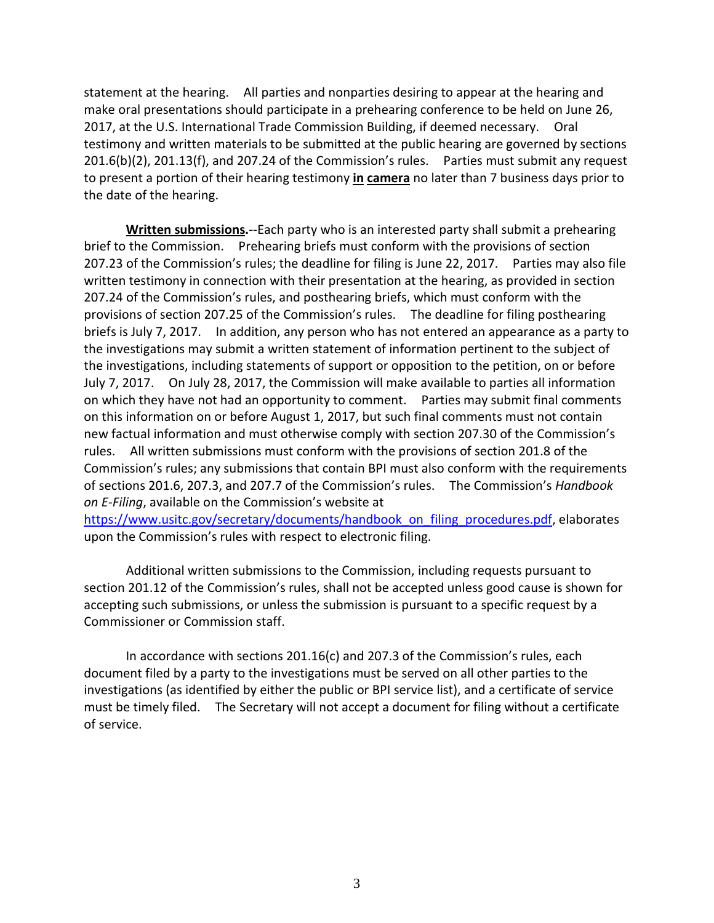statement at the hearing. All parties and nonparties desiring to appear at the hearing and make oral presentations should participate in a prehearing conference to be held on June 26, 2017, at the U.S. International Trade Commission Building, if deemed necessary. Oral testimony and written materials to be submitted at the public hearing are governed by sections 201.6(b)(2), 201.13(f), and 207.24 of the Commission's rules. Parties must submit any request to present a portion of their hearing testimony **in camera** no later than 7 business days prior to the date of the hearing.

**Written submissions.**--Each party who is an interested party shall submit a prehearing brief to the Commission. Prehearing briefs must conform with the provisions of section 207.23 of the Commission's rules; the deadline for filing is June 22, 2017. Parties may also file written testimony in connection with their presentation at the hearing, as provided in section 207.24 of the Commission's rules, and posthearing briefs, which must conform with the provisions of section 207.25 of the Commission's rules. The deadline for filing posthearing briefs is July 7, 2017. In addition, any person who has not entered an appearance as a party to the investigations may submit a written statement of information pertinent to the subject of the investigations, including statements of support or opposition to the petition, on or before July 7, 2017. On July 28, 2017, the Commission will make available to parties all information on which they have not had an opportunity to comment. Parties may submit final comments on this information on or before August 1, 2017, but such final comments must not contain new factual information and must otherwise comply with section 207.30 of the Commission's rules. All written submissions must conform with the provisions of section 201.8 of the Commission's rules; any submissions that contain BPI must also conform with the requirements of sections 201.6, 207.3, and 207.7 of the Commission's rules. The Commission's *Handbook on E-Filing*, available on the Commission's website at [https://www.usitc.gov/secretary/documents/handbook\\_on\\_filing\\_procedures.pdf,](https://www.usitc.gov/secretary/documents/handbook_on_filing_procedures.pdf) elaborates upon the Commission's rules with respect to electronic filing.

Additional written submissions to the Commission, including requests pursuant to section 201.12 of the Commission's rules, shall not be accepted unless good cause is shown for accepting such submissions, or unless the submission is pursuant to a specific request by a Commissioner or Commission staff.

In accordance with sections 201.16(c) and 207.3 of the Commission's rules, each document filed by a party to the investigations must be served on all other parties to the investigations (as identified by either the public or BPI service list), and a certificate of service must be timely filed. The Secretary will not accept a document for filing without a certificate of service.